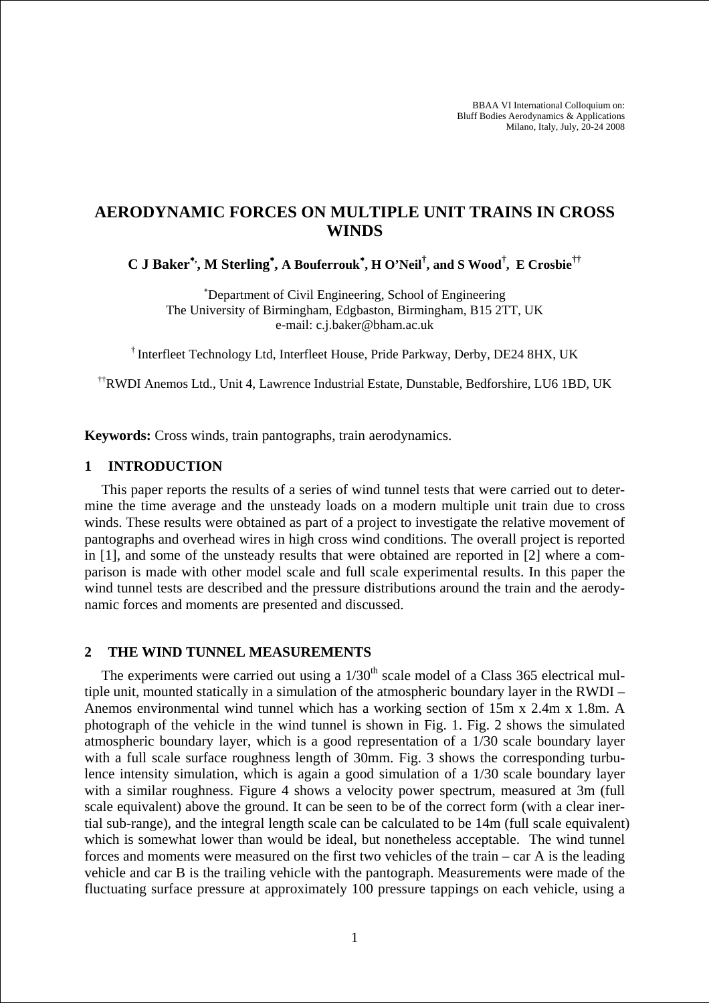# **AERODYNAMIC FORCES ON MULTIPLE UNIT TRAINS IN CROSS WINDS**

**C J Baker**<sup>∗</sup>**, , M Sterling**<sup>∗</sup> **, A Bouferrouk**<sup>∗</sup> **, H O'Neil† , and S Wood† , E Crosbie††**

∗ Department of Civil Engineering, School of Engineering The University of Birmingham, Edgbaston, Birmingham, B15 2TT, UK e-mail: c.j.baker@bham.ac.uk

† Interfleet Technology Ltd, Interfleet House, Pride Parkway, Derby, DE24 8HX, UK

††RWDI Anemos Ltd., Unit 4, Lawrence Industrial Estate, Dunstable, Bedforshire, LU6 1BD, UK

**Keywords:** Cross winds, train pantographs, train aerodynamics.

#### **1 INTRODUCTION**

This paper reports the results of a series of wind tunnel tests that were carried out to determine the time average and the unsteady loads on a modern multiple unit train due to cross winds. These results were obtained as part of a project to investigate the relative movement of pantographs and overhead wires in high cross wind conditions. The overall project is reported in [1], and some of the unsteady results that were obtained are reported in [2] where a comparison is made with other model scale and full scale experimental results. In this paper the wind tunnel tests are described and the pressure distributions around the train and the aerodynamic forces and moments are presented and discussed.

## **2 THE WIND TUNNEL MEASUREMENTS**

The experiments were carried out using a  $1/30<sup>th</sup>$  scale model of a Class 365 electrical multiple unit, mounted statically in a simulation of the atmospheric boundary layer in the RWDI – Anemos environmental wind tunnel which has a working section of 15m x 2.4m x 1.8m. A photograph of the vehicle in the wind tunnel is shown in Fig. 1. Fig. 2 shows the simulated atmospheric boundary layer, which is a good representation of a 1/30 scale boundary layer with a full scale surface roughness length of 30mm. Fig. 3 shows the corresponding turbulence intensity simulation, which is again a good simulation of a 1/30 scale boundary layer with a similar roughness. Figure 4 shows a velocity power spectrum, measured at 3m (full scale equivalent) above the ground. It can be seen to be of the correct form (with a clear inertial sub-range), and the integral length scale can be calculated to be 14m (full scale equivalent) which is somewhat lower than would be ideal, but nonetheless acceptable. The wind tunnel forces and moments were measured on the first two vehicles of the train – car A is the leading vehicle and car B is the trailing vehicle with the pantograph. Measurements were made of the fluctuating surface pressure at approximately 100 pressure tappings on each vehicle, using a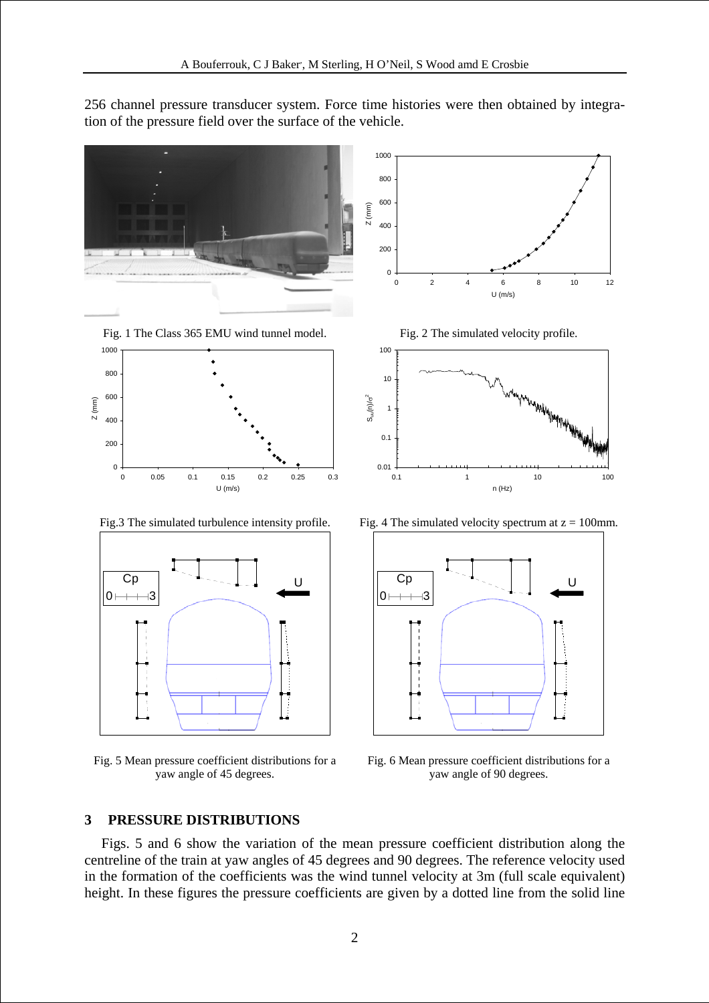256 channel pressure transducer system. Force time histories were then obtained by integration of the pressure field over the surface of the vehicle.



yaw angle of 45 degrees. Fig. 6 Mean pressure coefficient distributions for a yaw angle of 90 degrees.

## **3 PRESSURE DISTRIBUTIONS**

Figs. 5 and 6 show the variation of the mean pressure coefficient distribution along the centreline of the train at yaw angles of 45 degrees and 90 degrees. The reference velocity used in the formation of the coefficients was the wind tunnel velocity at 3m (full scale equivalent) height. In these figures the pressure coefficients are given by a dotted line from the solid line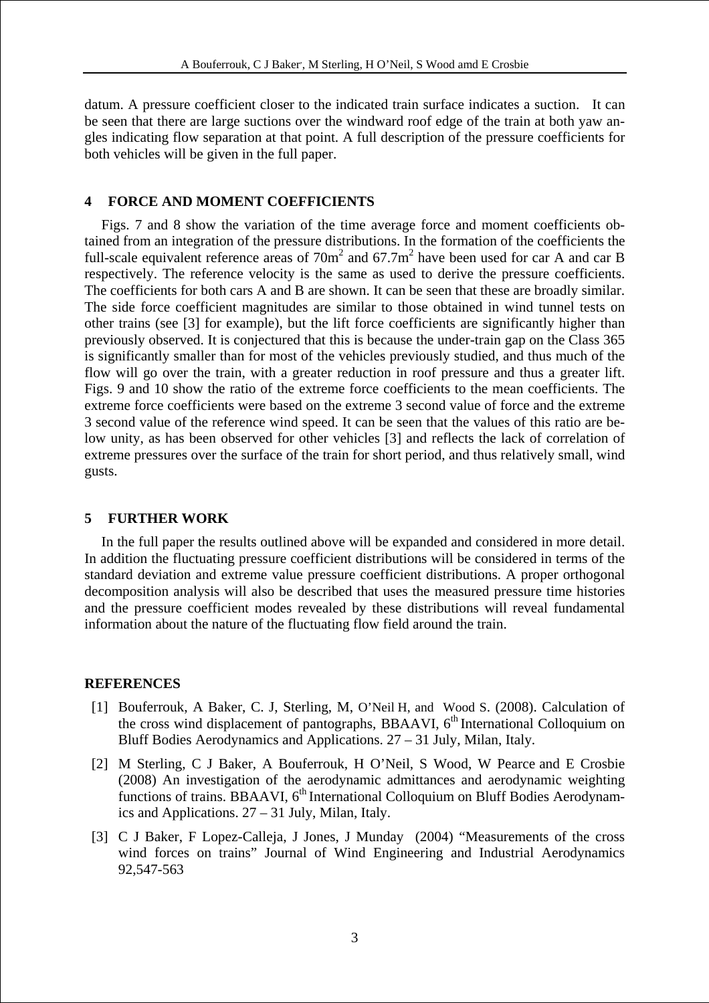datum. A pressure coefficient closer to the indicated train surface indicates a suction. It can be seen that there are large suctions over the windward roof edge of the train at both yaw angles indicating flow separation at that point. A full description of the pressure coefficients for both vehicles will be given in the full paper.

## **4 FORCE AND MOMENT COEFFICIENTS**

Figs. 7 and 8 show the variation of the time average force and moment coefficients obtained from an integration of the pressure distributions. In the formation of the coefficients the full-scale equivalent reference areas of  $70m^2$  and  $67.7m^2$  have been used for car A and car B respectively. The reference velocity is the same as used to derive the pressure coefficients. The coefficients for both cars A and B are shown. It can be seen that these are broadly similar. The side force coefficient magnitudes are similar to those obtained in wind tunnel tests on other trains (see [3] for example), but the lift force coefficients are significantly higher than previously observed. It is conjectured that this is because the under-train gap on the Class 365 is significantly smaller than for most of the vehicles previously studied, and thus much of the flow will go over the train, with a greater reduction in roof pressure and thus a greater lift. Figs. 9 and 10 show the ratio of the extreme force coefficients to the mean coefficients. The extreme force coefficients were based on the extreme 3 second value of force and the extreme 3 second value of the reference wind speed. It can be seen that the values of this ratio are below unity, as has been observed for other vehicles [3] and reflects the lack of correlation of extreme pressures over the surface of the train for short period, and thus relatively small, wind gusts.

#### **5 FURTHER WORK**

In the full paper the results outlined above will be expanded and considered in more detail. In addition the fluctuating pressure coefficient distributions will be considered in terms of the standard deviation and extreme value pressure coefficient distributions. A proper orthogonal decomposition analysis will also be described that uses the measured pressure time histories and the pressure coefficient modes revealed by these distributions will reveal fundamental information about the nature of the fluctuating flow field around the train.

#### **REFERENCES**

- [1] Bouferrouk, A Baker, C. J, Sterling, M, O'Neil H, and Wood S. (2008). Calculation of the cross wind displacement of pantographs, BBAAVI,  $6<sup>th</sup>$  International Colloquium on Bluff Bodies Aerodynamics and Applications. 27 – 31 July, Milan, Italy.
- [2] M Sterling, C J Baker, A Bouferrouk, H O'Neil, S Wood, W Pearce and E Crosbie (2008) An investigation of the aerodynamic admittances and aerodynamic weighting functions of trains. BBAAVI,  $6<sup>th</sup>$  International Colloquium on Bluff Bodies Aerodynamics and Applications. 27 – 31 July, Milan, Italy.
- [3] C J Baker, F Lopez-Calleja, J Jones, J Munday (2004) "Measurements of the cross wind forces on trains" Journal of Wind Engineering and Industrial Aerodynamics 92,547-563